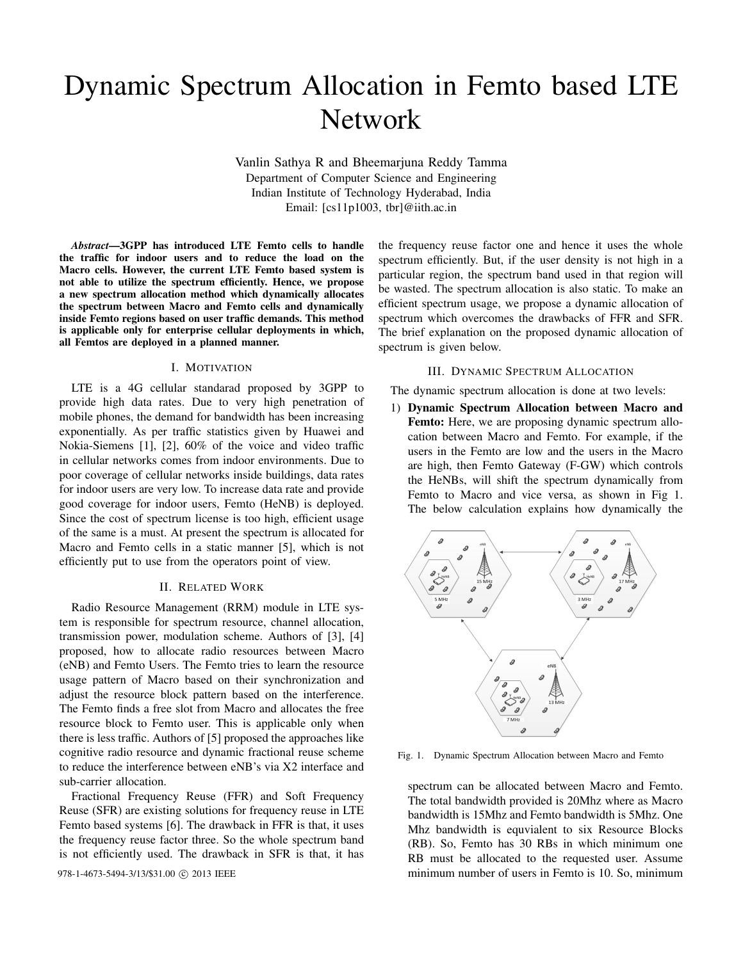# Dynamic Spectrum Allocation in Femto based LTE Network

Vanlin Sathya R and Bheemarjuna Reddy Tamma Department of Computer Science and Engineering Indian Institute of Technology Hyderabad, India Email: [cs11p1003, tbr]@iith.ac.in

*Abstract*—3GPP has introduced LTE Femto cells to handle the traffic for indoor users and to reduce the load on the Macro cells. However, the current LTE Femto based system is not able to utilize the spectrum efficiently. Hence, we propose a new spectrum allocation method which dynamically allocates the spectrum between Macro and Femto cells and dynamically inside Femto regions based on user traffic demands. This method is applicable only for enterprise cellular deployments in which, all Femtos are deployed in a planned manner.

### I. MOTIVATION

LTE is a 4G cellular standarad proposed by 3GPP to provide high data rates. Due to very high penetration of mobile phones, the demand for bandwidth has been increasing exponentially. As per traffic statistics given by Huawei and Nokia-Siemens [1], [2], 60% of the voice and video traffic in cellular networks comes from indoor environments. Due to poor coverage of cellular networks inside buildings, data rates for indoor users are very low. To increase data rate and provide good coverage for indoor users, Femto (HeNB) is deployed. Since the cost of spectrum license is too high, efficient usage of the same is a must. At present the spectrum is allocated for Macro and Femto cells in a static manner [5], which is not efficiently put to use from the operators point of view.

## II. RELATED WORK

Radio Resource Management (RRM) module in LTE system is responsible for spectrum resource, channel allocation, transmission power, modulation scheme. Authors of [3], [4] proposed, how to allocate radio resources between Macro (eNB) and Femto Users. The Femto tries to learn the resource usage pattern of Macro based on their synchronization and adjust the resource block pattern based on the interference. The Femto finds a free slot from Macro and allocates the free resource block to Femto user. This is applicable only when there is less traffic. Authors of [5] proposed the approaches like cognitive radio resource and dynamic fractional reuse scheme to reduce the interference between eNB's via X2 interface and sub-carrier allocation.

Fractional Frequency Reuse (FFR) and Soft Frequency Reuse (SFR) are existing solutions for frequency reuse in LTE Femto based systems [6]. The drawback in FFR is that, it uses the frequency reuse factor three. So the whole spectrum band is not efficiently used. The drawback in SFR is that, it has

the frequency reuse factor one and hence it uses the whole spectrum efficiently. But, if the user density is not high in a particular region, the spectrum band used in that region will be wasted. The spectrum allocation is also static. To make an efficient spectrum usage, we propose a dynamic allocation of spectrum which overcomes the drawbacks of FFR and SFR. The brief explanation on the proposed dynamic allocation of spectrum is given below.

#### III. DYNAMIC SPECTRUM ALLOCATION

The dynamic spectrum allocation is done at two levels:

1) Dynamic Spectrum Allocation between Macro and Femto: Here, we are proposing dynamic spectrum allocation between Macro and Femto. For example, if the users in the Femto are low and the users in the Macro are high, then Femto Gateway (F-GW) which controls the HeNBs, will shift the spectrum dynamically from Femto to Macro and vice versa, as shown in Fig 1. The below calculation explains how dynamically the



Fig. 1. Dynamic Spectrum Allocation between Macro and Femto

spectrum can be allocated between Macro and Femto. The total bandwidth provided is 20Mhz where as Macro bandwidth is 15Mhz and Femto bandwidth is 5Mhz. One Mhz bandwidth is equvialent to six Resource Blocks (RB). So, Femto has 30 RBs in which minimum one RB must be allocated to the requested user. Assume 978-1-4673-5494-3/13/\$31.00 C 2013 IEEE minimum number of users in Femto is 10. So, minimum